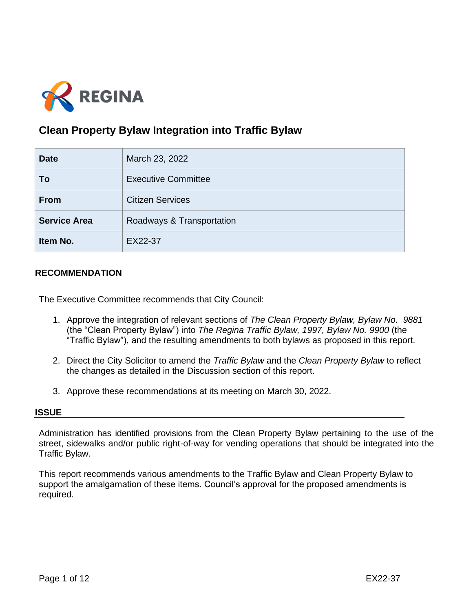

# **Clean Property Bylaw Integration into Traffic Bylaw**

| <b>Date</b>         | March 23, 2022             |  |
|---------------------|----------------------------|--|
| To                  | <b>Executive Committee</b> |  |
| <b>From</b>         | <b>Citizen Services</b>    |  |
| <b>Service Area</b> | Roadways & Transportation  |  |
| Item No.            | EX22-37                    |  |

### **RECOMMENDATION**

The Executive Committee recommends that City Council:

- 1. Approve the integration of relevant sections of *The Clean Property Bylaw, Bylaw No. 9881* (the "Clean Property Bylaw") into *The Regina Traffic Bylaw, 1997, Bylaw No. 9900* (the "Traffic Bylaw"), and the resulting amendments to both bylaws as proposed in this report.
- 2. Direct the City Solicitor to amend the *Traffic Bylaw* and the *Clean Property Bylaw* to reflect the changes as detailed in the Discussion section of this report.
- 3. Approve these recommendations at its meeting on March 30, 2022.

#### **ISSUE**

Administration has identified provisions from the Clean Property Bylaw pertaining to the use of the street, sidewalks and/or public right-of-way for vending operations that should be integrated into the Traffic Bylaw.

This report recommends various amendments to the Traffic Bylaw and Clean Property Bylaw to support the amalgamation of these items. Council's approval for the proposed amendments is required.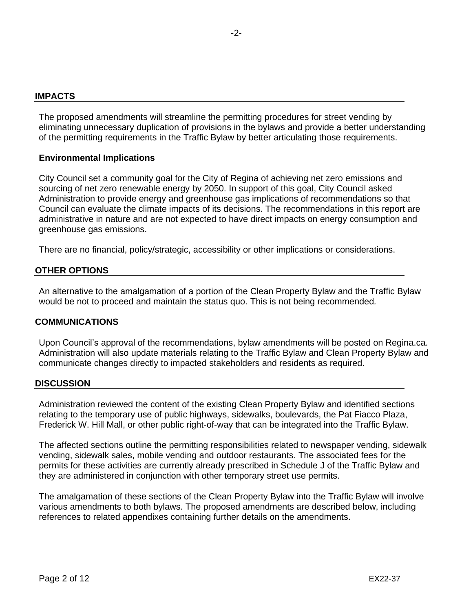#### **IMPACTS**

The proposed amendments will streamline the permitting procedures for street vending by eliminating unnecessary duplication of provisions in the bylaws and provide a better understanding of the permitting requirements in the Traffic Bylaw by better articulating those requirements.

#### **Environmental Implications**

City Council set a community goal for the City of Regina of achieving net zero emissions and sourcing of net zero renewable energy by 2050. In support of this goal, City Council asked Administration to provide energy and greenhouse gas implications of recommendations so that Council can evaluate the climate impacts of its decisions. The recommendations in this report are administrative in nature and are not expected to have direct impacts on energy consumption and greenhouse gas emissions.

There are no financial, policy/strategic, accessibility or other implications or considerations.

### **OTHER OPTIONS**

An alternative to the amalgamation of a portion of the Clean Property Bylaw and the Traffic Bylaw would be not to proceed and maintain the status quo. This is not being recommended*.*

#### **COMMUNICATIONS**

Upon Council's approval of the recommendations, bylaw amendments will be posted on Regina.ca. Administration will also update materials relating to the Traffic Bylaw and Clean Property Bylaw and communicate changes directly to impacted stakeholders and residents as required.

#### **DISCUSSION**

Administration reviewed the content of the existing Clean Property Bylaw and identified sections relating to the temporary use of public highways, sidewalks, boulevards, the Pat Fiacco Plaza, Frederick W. Hill Mall, or other public right-of-way that can be integrated into the Traffic Bylaw.

The affected sections outline the permitting responsibilities related to newspaper vending, sidewalk vending, sidewalk sales, mobile vending and outdoor restaurants. The associated fees for the permits for these activities are currently already prescribed in Schedule J of the Traffic Bylaw and they are administered in conjunction with other temporary street use permits.

The amalgamation of these sections of the Clean Property Bylaw into the Traffic Bylaw will involve various amendments to both bylaws. The proposed amendments are described below, including references to related appendixes containing further details on the amendments.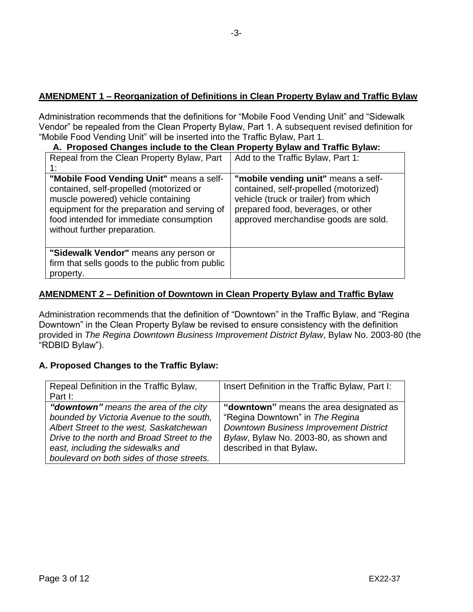# **AMENDMENT 1 – Reorganization of Definitions in Clean Property Bylaw and Traffic Bylaw**

Administration recommends that the definitions for "Mobile Food Vending Unit" and "Sidewalk Vendor" be repealed from the Clean Property Bylaw, Part 1. A subsequent revised definition for "Mobile Food Vending Unit" will be inserted into the Traffic Bylaw, Part 1.

### **A. Proposed Changes include to the Clean Property Bylaw and Traffic Bylaw:**

| Repeal from the Clean Property Bylaw, Part<br>1:                                                                                                                                                                                                     | Add to the Traffic Bylaw, Part 1:                                                                                                                                                                   |
|------------------------------------------------------------------------------------------------------------------------------------------------------------------------------------------------------------------------------------------------------|-----------------------------------------------------------------------------------------------------------------------------------------------------------------------------------------------------|
| "Mobile Food Vending Unit" means a self-<br>contained, self-propelled (motorized or<br>muscle powered) vehicle containing<br>equipment for the preparation and serving of<br>food intended for immediate consumption<br>without further preparation. | "mobile vending unit" means a self-<br>contained, self-propelled (motorized)<br>vehicle (truck or trailer) from which<br>prepared food, beverages, or other<br>approved merchandise goods are sold. |
| "Sidewalk Vendor" means any person or<br>firm that sells goods to the public from public<br>property.                                                                                                                                                |                                                                                                                                                                                                     |

### **AMENDMENT 2 – Definition of Downtown in Clean Property Bylaw and Traffic Bylaw**

Administration recommends that the definition of "Downtown" in the Traffic Bylaw, and "Regina Downtown" in the Clean Property Bylaw be revised to ensure consistency with the definition provided in *The Regina Downtown Business Improvement District Bylaw*, Bylaw No. 2003-80 (the "RDBID Bylaw").

### **A. Proposed Changes to the Traffic Bylaw:**

| Repeal Definition in the Traffic Bylaw,<br>Part I:                                                                                                                                                                                                                    | Insert Definition in the Traffic Bylaw, Part I:                                                                                                                                                   |
|-----------------------------------------------------------------------------------------------------------------------------------------------------------------------------------------------------------------------------------------------------------------------|---------------------------------------------------------------------------------------------------------------------------------------------------------------------------------------------------|
| " <b>downtown</b> " means the area of the city<br>bounded by Victoria Avenue to the south,<br>Albert Street to the west, Saskatchewan<br>Drive to the north and Broad Street to the<br>east, including the sidewalks and<br>boulevard on both sides of those streets. | "downtown" means the area designated as<br>"Regina Downtown" in The Regina<br><b>Downtown Business Improvement District</b><br>Bylaw, Bylaw No. 2003-80, as shown and<br>described in that Bylaw. |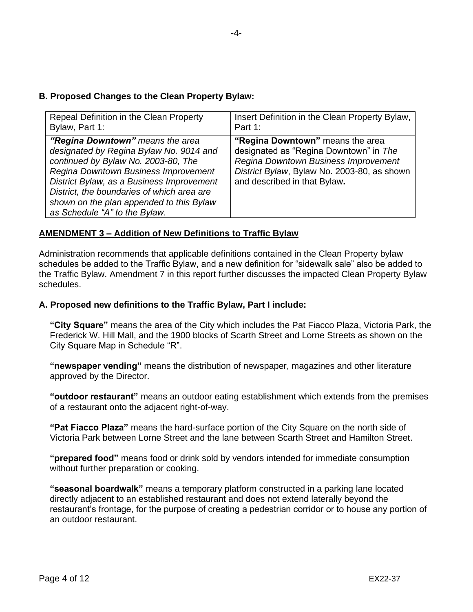# **B. Proposed Changes to the Clean Property Bylaw:**

| Repeal Definition in the Clean Property                                                                                                                                                                                                                                                                                            | Insert Definition in the Clean Property Bylaw,                                                                                                                                                    |
|------------------------------------------------------------------------------------------------------------------------------------------------------------------------------------------------------------------------------------------------------------------------------------------------------------------------------------|---------------------------------------------------------------------------------------------------------------------------------------------------------------------------------------------------|
| Bylaw, Part 1:                                                                                                                                                                                                                                                                                                                     | Part 1:                                                                                                                                                                                           |
| "Regina Downtown" means the area<br>designated by Regina Bylaw No. 9014 and<br>continued by Bylaw No. 2003-80, The<br>Regina Downtown Business Improvement<br>District Bylaw, as a Business Improvement<br>District, the boundaries of which area are<br>shown on the plan appended to this Bylaw<br>as Schedule "A" to the Bylaw. | "Regina Downtown" means the area<br>designated as "Regina Downtown" in The<br>Regina Downtown Business Improvement<br>District Bylaw, Bylaw No. 2003-80, as shown<br>and described in that Bylaw. |

# **AMENDMENT 3 – Addition of New Definitions to Traffic Bylaw**

Administration recommends that applicable definitions contained in the Clean Property bylaw schedules be added to the Traffic Bylaw, and a new definition for "sidewalk sale" also be added to the Traffic Bylaw. Amendment 7 in this report further discusses the impacted Clean Property Bylaw schedules.

# **A. Proposed new definitions to the Traffic Bylaw, Part I include:**

**"City Square"** means the area of the City which includes the Pat Fiacco Plaza, Victoria Park, the Frederick W. Hill Mall, and the 1900 blocks of Scarth Street and Lorne Streets as shown on the City Square Map in Schedule "R".

**"newspaper vending"** means the distribution of newspaper, magazines and other literature approved by the Director.

**"outdoor restaurant"** means an outdoor eating establishment which extends from the premises of a restaurant onto the adjacent right-of-way.

**"Pat Fiacco Plaza"** means the hard-surface portion of the City Square on the north side of Victoria Park between Lorne Street and the lane between Scarth Street and Hamilton Street.

**"prepared food"** means food or drink sold by vendors intended for immediate consumption without further preparation or cooking.

**"seasonal boardwalk"** means a temporary platform constructed in a parking lane located directly adjacent to an established restaurant and does not extend laterally beyond the restaurant's frontage, for the purpose of creating a pedestrian corridor or to house any portion of an outdoor restaurant.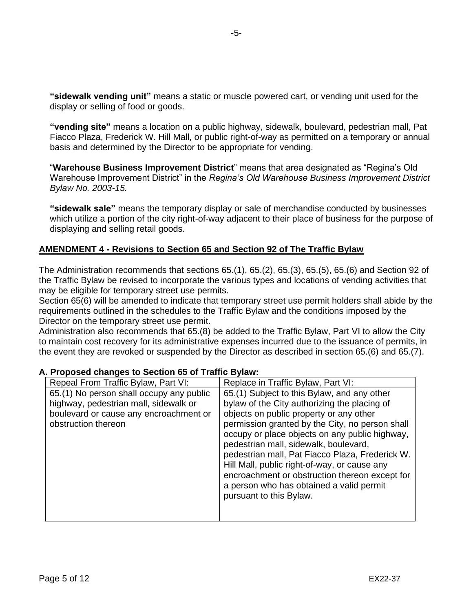**"sidewalk vending unit"** means a static or muscle powered cart, or vending unit used for the display or selling of food or goods.

**"vending site"** means a location on a public highway, sidewalk, boulevard, pedestrian mall, Pat Fiacco Plaza, Frederick W. Hill Mall, or public right-of-way as permitted on a temporary or annual basis and determined by the Director to be appropriate for vending.

"**Warehouse Business Improvement District**" means that area designated as "Regina's Old Warehouse Improvement District" in the *Regina's Old Warehouse Business Improvement District Bylaw No. 2003-15.*

**"sidewalk sale"** means the temporary display or sale of merchandise conducted by businesses which utilize a portion of the city right-of-way adjacent to their place of business for the purpose of displaying and selling retail goods.

### **AMENDMENT 4 - Revisions to Section 65 and Section 92 of The Traffic Bylaw**

The Administration recommends that sections 65.(1), 65.(2), 65.(3), 65.(5), 65.(6) and Section 92 of the Traffic Bylaw be revised to incorporate the various types and locations of vending activities that may be eligible for temporary street use permits.

Section 65(6) will be amended to indicate that temporary street use permit holders shall abide by the requirements outlined in the schedules to the Traffic Bylaw and the conditions imposed by the Director on the temporary street use permit.

Administration also recommends that 65.(8) be added to the Traffic Bylaw, Part VI to allow the City to maintain cost recovery for its administrative expenses incurred due to the issuance of permits, in the event they are revoked or suspended by the Director as described in section 65.(6) and 65.(7).

| Repeal From Traffic Bylaw, Part VI:                                                                                                                | Replace in Traffic Bylaw, Part VI:                                                                                                                                                                                                                                                                                                                                                                                                                                                                               |
|----------------------------------------------------------------------------------------------------------------------------------------------------|------------------------------------------------------------------------------------------------------------------------------------------------------------------------------------------------------------------------------------------------------------------------------------------------------------------------------------------------------------------------------------------------------------------------------------------------------------------------------------------------------------------|
| 65.(1) No person shall occupy any public<br>highway, pedestrian mall, sidewalk or<br>boulevard or cause any encroachment or<br>obstruction thereon | 65.(1) Subject to this Bylaw, and any other<br>bylaw of the City authorizing the placing of<br>objects on public property or any other<br>permission granted by the City, no person shall<br>occupy or place objects on any public highway,<br>pedestrian mall, sidewalk, boulevard,<br>pedestrian mall, Pat Fiacco Plaza, Frederick W.<br>Hill Mall, public right-of-way, or cause any<br>encroachment or obstruction thereon except for<br>a person who has obtained a valid permit<br>pursuant to this Bylaw. |

### **A. Proposed changes to Section 65 of Traffic Bylaw:**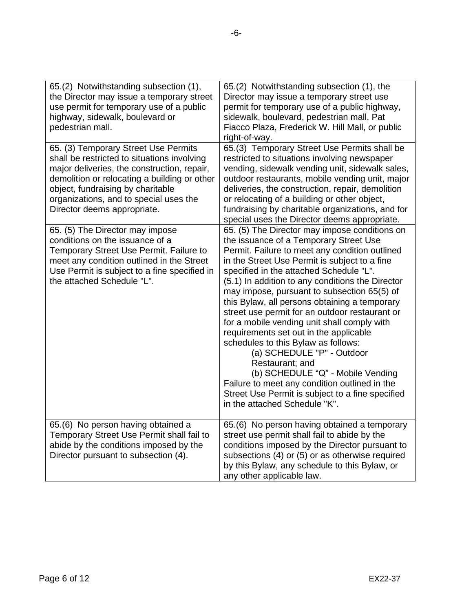| 65.(2) Notwithstanding subsection (1),<br>the Director may issue a temporary street<br>use permit for temporary use of a public<br>highway, sidewalk, boulevard or<br>pedestrian mall.                                                                                                           | 65.(2) Notwithstanding subsection (1), the<br>Director may issue a temporary street use<br>permit for temporary use of a public highway,<br>sidewalk, boulevard, pedestrian mall, Pat<br>Fiacco Plaza, Frederick W. Hill Mall, or public<br>right-of-way.                                                                                                                                                                                                                                                                                                                                                                                                                                                                                                                                               |
|--------------------------------------------------------------------------------------------------------------------------------------------------------------------------------------------------------------------------------------------------------------------------------------------------|---------------------------------------------------------------------------------------------------------------------------------------------------------------------------------------------------------------------------------------------------------------------------------------------------------------------------------------------------------------------------------------------------------------------------------------------------------------------------------------------------------------------------------------------------------------------------------------------------------------------------------------------------------------------------------------------------------------------------------------------------------------------------------------------------------|
| 65. (3) Temporary Street Use Permits<br>shall be restricted to situations involving<br>major deliveries, the construction, repair,<br>demolition or relocating a building or other<br>object, fundraising by charitable<br>organizations, and to special uses the<br>Director deems appropriate. | 65.(3) Temporary Street Use Permits shall be<br>restricted to situations involving newspaper<br>vending, sidewalk vending unit, sidewalk sales,<br>outdoor restaurants, mobile vending unit, major<br>deliveries, the construction, repair, demolition<br>or relocating of a building or other object,<br>fundraising by charitable organizations, and for<br>special uses the Director deems appropriate.                                                                                                                                                                                                                                                                                                                                                                                              |
| 65. (5) The Director may impose<br>conditions on the issuance of a<br>Temporary Street Use Permit. Failure to<br>meet any condition outlined in the Street<br>Use Permit is subject to a fine specified in<br>the attached Schedule "L".                                                         | 65. (5) The Director may impose conditions on<br>the issuance of a Temporary Street Use<br>Permit. Failure to meet any condition outlined<br>in the Street Use Permit is subject to a fine<br>specified in the attached Schedule "L".<br>(5.1) In addition to any conditions the Director<br>may impose, pursuant to subsection 65(5) of<br>this Bylaw, all persons obtaining a temporary<br>street use permit for an outdoor restaurant or<br>for a mobile vending unit shall comply with<br>requirements set out in the applicable<br>schedules to this Bylaw as follows:<br>(a) SCHEDULE "P" - Outdoor<br>Restaurant; and<br>(b) SCHEDULE "Q" - Mobile Vending<br>Failure to meet any condition outlined in the<br>Street Use Permit is subject to a fine specified<br>in the attached Schedule "K". |
| 65.(6) No person having obtained a<br>Temporary Street Use Permit shall fail to<br>abide by the conditions imposed by the<br>Director pursuant to subsection (4).                                                                                                                                | 65.(6) No person having obtained a temporary<br>street use permit shall fail to abide by the<br>conditions imposed by the Director pursuant to<br>subsections (4) or (5) or as otherwise required<br>by this Bylaw, any schedule to this Bylaw, or<br>any other applicable law.                                                                                                                                                                                                                                                                                                                                                                                                                                                                                                                         |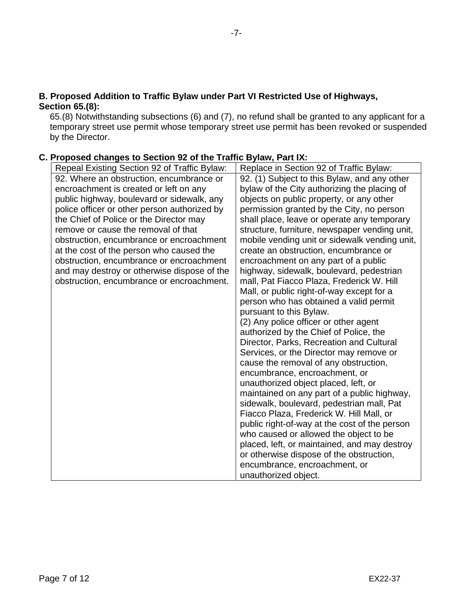### **B. Proposed Addition to Traffic Bylaw under Part VI Restricted Use of Highways, Section 65.(8):**

65.(8) Notwithstanding subsections (6) and (7), no refund shall be granted to any applicant for a temporary street use permit whose temporary street use permit has been revoked or suspended by the Director.

# **C. Proposed changes to Section 92 of the Traffic Bylaw, Part IX:**

| Repeal Existing Section 92 of Traffic Bylaw: | Replace in Section 92 of Traffic Bylaw:       |
|----------------------------------------------|-----------------------------------------------|
| 92. Where an obstruction, encumbrance or     | 92. (1) Subject to this Bylaw, and any other  |
| encroachment is created or left on any       | bylaw of the City authorizing the placing of  |
| public highway, boulevard or sidewalk, any   | objects on public property, or any other      |
| police officer or other person authorized by | permission granted by the City, no person     |
| the Chief of Police or the Director may      | shall place, leave or operate any temporary   |
| remove or cause the removal of that          | structure, furniture, newspaper vending unit, |
| obstruction, encumbrance or encroachment     | mobile vending unit or sidewalk vending unit, |
| at the cost of the person who caused the     | create an obstruction, encumbrance or         |
| obstruction, encumbrance or encroachment     | encroachment on any part of a public          |
| and may destroy or otherwise dispose of the  | highway, sidewalk, boulevard, pedestrian      |
| obstruction, encumbrance or encroachment.    | mall, Pat Fiacco Plaza, Frederick W. Hill     |
|                                              | Mall, or public right-of-way except for a     |
|                                              | person who has obtained a valid permit        |
|                                              | pursuant to this Bylaw.                       |
|                                              | (2) Any police officer or other agent         |
|                                              | authorized by the Chief of Police, the        |
|                                              | Director, Parks, Recreation and Cultural      |
|                                              | Services, or the Director may remove or       |
|                                              | cause the removal of any obstruction,         |
|                                              | encumbrance, encroachment, or                 |
|                                              | unauthorized object placed, left, or          |
|                                              | maintained on any part of a public highway,   |
|                                              | sidewalk, boulevard, pedestrian mall, Pat     |
|                                              | Fiacco Plaza, Frederick W. Hill Mall, or      |
|                                              | public right-of-way at the cost of the person |
|                                              | who caused or allowed the object to be        |
|                                              | placed, left, or maintained, and may destroy  |
|                                              | or otherwise dispose of the obstruction,      |
|                                              | encumbrance, encroachment, or                 |
|                                              | unauthorized object.                          |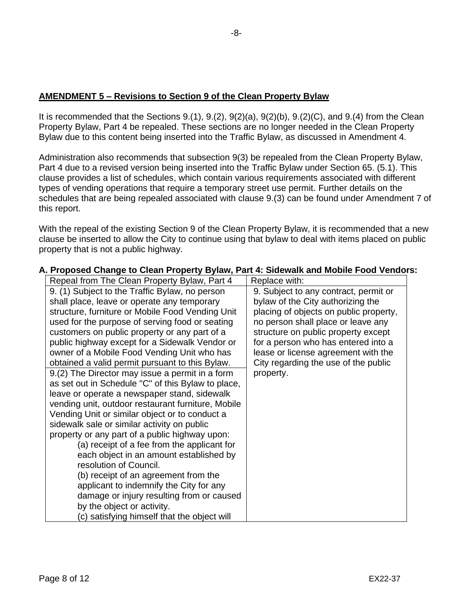### **AMENDMENT 5 – Revisions to Section 9 of the Clean Property Bylaw**

It is recommended that the Sections  $9.(1), 9.(2), 9(2)(a), 9(2)(b), 9.(2)(C),$  and  $9.(4)$  from the Clean Property Bylaw, Part 4 be repealed. These sections are no longer needed in the Clean Property Bylaw due to this content being inserted into the Traffic Bylaw, as discussed in Amendment 4.

Administration also recommends that subsection 9(3) be repealed from the Clean Property Bylaw, Part 4 due to a revised version being inserted into the Traffic Bylaw under Section 65. (5.1). This clause provides a list of schedules, which contain various requirements associated with different types of vending operations that require a temporary street use permit. Further details on the schedules that are being repealed associated with clause 9.(3) can be found under Amendment 7 of this report.

With the repeal of the existing Section 9 of the Clean Property Bylaw, it is recommended that a new clause be inserted to allow the City to continue using that bylaw to deal with items placed on public property that is not a public highway.

| Repeal from The Clean Property Bylaw, Part 4       | Replace with:                          |
|----------------------------------------------------|----------------------------------------|
| 9. (1) Subject to the Traffic Bylaw, no person     | 9. Subject to any contract, permit or  |
| shall place, leave or operate any temporary        | bylaw of the City authorizing the      |
| structure, furniture or Mobile Food Vending Unit   | placing of objects on public property, |
| used for the purpose of serving food or seating    | no person shall place or leave any     |
| customers on public property or any part of a      | structure on public property except    |
| public highway except for a Sidewalk Vendor or     | for a person who has entered into a    |
| owner of a Mobile Food Vending Unit who has        | lease or license agreement with the    |
| obtained a valid permit pursuant to this Bylaw.    | City regarding the use of the public   |
| 9.(2) The Director may issue a permit in a form    | property.                              |
| as set out in Schedule "C" of this Bylaw to place, |                                        |
| leave or operate a newspaper stand, sidewalk       |                                        |
| vending unit, outdoor restaurant furniture, Mobile |                                        |
| Vending Unit or similar object or to conduct a     |                                        |
| sidewalk sale or similar activity on public        |                                        |
| property or any part of a public highway upon:     |                                        |
| (a) receipt of a fee from the applicant for        |                                        |
| each object in an amount established by            |                                        |
| resolution of Council.                             |                                        |
| (b) receipt of an agreement from the               |                                        |
| applicant to indemnify the City for any            |                                        |
| damage or injury resulting from or caused          |                                        |
| by the object or activity.                         |                                        |
| (c) satisfying himself that the object will        |                                        |

### **A. Proposed Change to Clean Property Bylaw, Part 4: Sidewalk and Mobile Food Vendors:**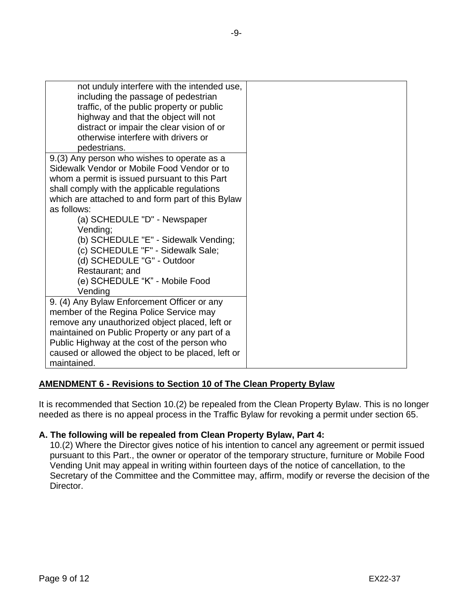| not unduly interfere with the intended use,<br>including the passage of pedestrian<br>traffic, of the public property or public<br>highway and that the object will not<br>distract or impair the clear vision of or<br>otherwise interfere with drivers or<br>pedestrians.                                     |
|-----------------------------------------------------------------------------------------------------------------------------------------------------------------------------------------------------------------------------------------------------------------------------------------------------------------|
| 9.(3) Any person who wishes to operate as a<br>Sidewalk Vendor or Mobile Food Vendor or to<br>whom a permit is issued pursuant to this Part<br>shall comply with the applicable regulations<br>which are attached to and form part of this Bylaw<br>as follows:                                                 |
| (a) SCHEDULE "D" - Newspaper<br>Vending;<br>(b) SCHEDULE "E" - Sidewalk Vending;<br>(c) SCHEDULE "F" - Sidewalk Sale;<br>(d) SCHEDULE "G" - Outdoor<br>Restaurant; and<br>(e) SCHEDULE "K" - Mobile Food<br>Vending                                                                                             |
| 9. (4) Any Bylaw Enforcement Officer or any<br>member of the Regina Police Service may<br>remove any unauthorized object placed, left or<br>maintained on Public Property or any part of a<br>Public Highway at the cost of the person who<br>caused or allowed the object to be placed, left or<br>maintained. |

# **AMENDMENT 6 - Revisions to Section 10 of The Clean Property Bylaw**

It is recommended that Section 10.(2) be repealed from the Clean Property Bylaw. This is no longer needed as there is no appeal process in the Traffic Bylaw for revoking a permit under section 65.

### **A. The following will be repealed from Clean Property Bylaw, Part 4:**

10.(2) Where the Director gives notice of his intention to cancel any agreement or permit issued pursuant to this Part., the owner or operator of the temporary structure, furniture or Mobile Food Vending Unit may appeal in writing within fourteen days of the notice of cancellation, to the Secretary of the Committee and the Committee may, affirm, modify or reverse the decision of the Director.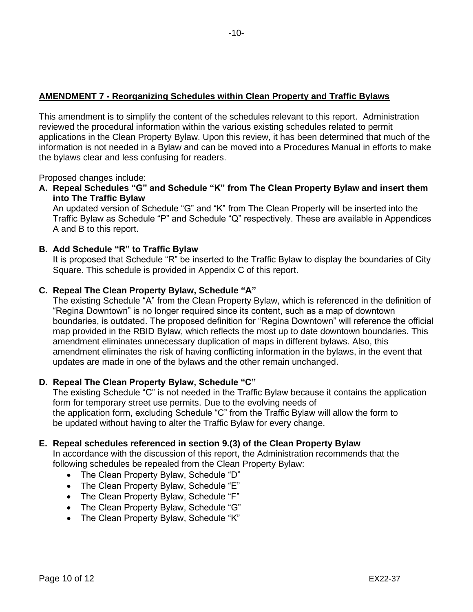# **AMENDMENT 7 - Reorganizing Schedules within Clean Property and Traffic Bylaws**

This amendment is to simplify the content of the schedules relevant to this report. Administration reviewed the procedural information within the various existing schedules related to permit applications in the Clean Property Bylaw. Upon this review, it has been determined that much of the information is not needed in a Bylaw and can be moved into a Procedures Manual in efforts to make the bylaws clear and less confusing for readers.

Proposed changes include:

**A. Repeal Schedules "G" and Schedule "K" from The Clean Property Bylaw and insert them into The Traffic Bylaw**

An updated version of Schedule "G" and "K" from The Clean Property will be inserted into the Traffic Bylaw as Schedule "P" and Schedule "Q" respectively. These are available in Appendices A and B to this report.

### **B. Add Schedule "R" to Traffic Bylaw**

It is proposed that Schedule "R" be inserted to the Traffic Bylaw to display the boundaries of City Square. This schedule is provided in Appendix C of this report.

### **C. Repeal The Clean Property Bylaw, Schedule "A"**

The existing Schedule "A" from the Clean Property Bylaw, which is referenced in the definition of "Regina Downtown" is no longer required since its content, such as a map of downtown boundaries, is outdated. The proposed definition for "Regina Downtown" will reference the official map provided in the RBID Bylaw, which reflects the most up to date downtown boundaries. This amendment eliminates unnecessary duplication of maps in different bylaws. Also, this amendment eliminates the risk of having conflicting information in the bylaws, in the event that updates are made in one of the bylaws and the other remain unchanged.

### **D. Repeal The Clean Property Bylaw, Schedule "C"**

The existing Schedule "C" is not needed in the Traffic Bylaw because it contains the application form for temporary street use permits. Due to the evolving needs of the application form, excluding Schedule "C" from the Traffic Bylaw will allow the form to be updated without having to alter the Traffic Bylaw for every change.

### **E. Repeal schedules referenced in section 9.(3) of the Clean Property Bylaw**

In accordance with the discussion of this report, the Administration recommends that the following schedules be repealed from the Clean Property Bylaw:

- The Clean Property Bylaw, Schedule "D"
- The Clean Property Bylaw, Schedule "E"
- The Clean Property Bylaw, Schedule "F"
- The Clean Property Bylaw, Schedule "G"
- The Clean Property Bylaw, Schedule "K"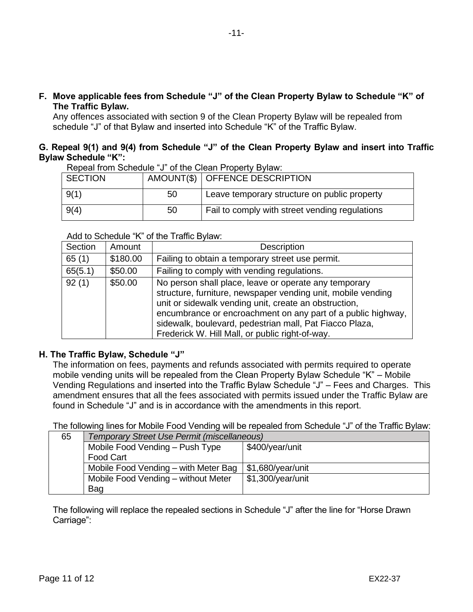**F. Move applicable fees from Schedule "J" of the Clean Property Bylaw to Schedule "K" of The Traffic Bylaw.**

Any offences associated with section 9 of the Clean Property Bylaw will be repealed from schedule "J" of that Bylaw and inserted into Schedule "K" of the Traffic Bylaw.

### **G. Repeal 9(1) and 9(4) from Schedule "J" of the Clean Property Bylaw and insert into Traffic Bylaw Schedule "K":**

Repeal from Schedule "J" of the Clean Property Bylaw:

| <b>SECTION</b> |    | AMOUNT(\$)   OFFENCE DESCRIPTION               |
|----------------|----|------------------------------------------------|
| 9(1)           | 50 | Leave temporary structure on public property   |
| 9(4)           | 50 | Fail to comply with street vending regulations |

#### Add to Schedule "K" of the Traffic Bylaw:

| Section | Amount   | <b>Description</b>                                                                                                                                                                                                                                                                                                                                           |
|---------|----------|--------------------------------------------------------------------------------------------------------------------------------------------------------------------------------------------------------------------------------------------------------------------------------------------------------------------------------------------------------------|
| 65(1)   | \$180.00 | Failing to obtain a temporary street use permit.                                                                                                                                                                                                                                                                                                             |
| 65(5.1) | \$50.00  | Failing to comply with vending regulations.                                                                                                                                                                                                                                                                                                                  |
| 92(1)   | \$50.00  | No person shall place, leave or operate any temporary<br>structure, furniture, newspaper vending unit, mobile vending<br>unit or sidewalk vending unit, create an obstruction,<br>encumbrance or encroachment on any part of a public highway,<br>sidewalk, boulevard, pedestrian mall, Pat Fiacco Plaza,<br>Frederick W. Hill Mall, or public right-of-way. |

### **H. The Traffic Bylaw, Schedule "J"**

The information on fees, payments and refunds associated with permits required to operate mobile vending units will be repealed from the Clean Property Bylaw Schedule "K" – Mobile Vending Regulations and inserted into the Traffic Bylaw Schedule "J" – Fees and Charges. This amendment ensures that all the fees associated with permits issued under the Traffic Bylaw are found in Schedule "J" and is in accordance with the amendments in this report.

The following lines for Mobile Food Vending will be repealed from Schedule "J" of the Traffic Bylaw:

| 65 | Temporary Street Use Permit (miscellaneous) |                   |  |
|----|---------------------------------------------|-------------------|--|
|    | Mobile Food Vending - Push Type             | \$400/year/unit   |  |
|    | Food Cart                                   |                   |  |
|    | Mobile Food Vending – with Meter Bag        | \$1,680/year/unit |  |
|    | Mobile Food Vending - without Meter         | \$1,300/year/unit |  |
|    | Bag                                         |                   |  |

The following will replace the repealed sections in Schedule "J" after the line for "Horse Drawn Carriage":